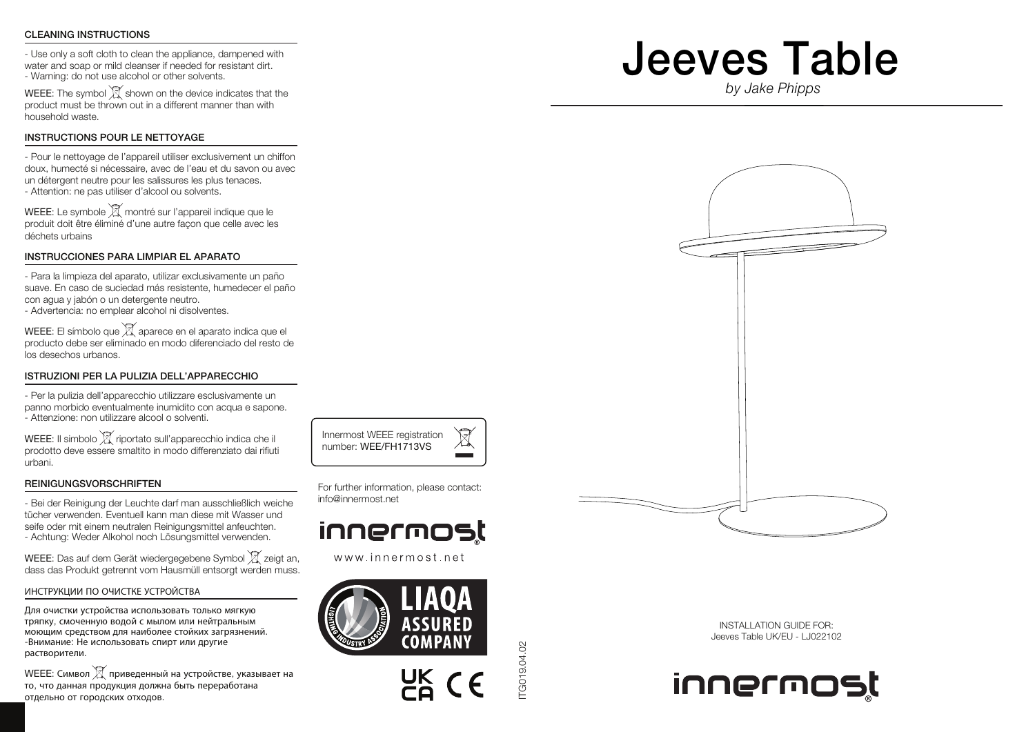### CLEANING INSTRUCTIONS

- Use only a soft cloth to clean the appliance, dampened with water and soap or mild cleanser if needed for resistant dirt. - Warning: do not use alcohol or other solvents.

WEEE: The symbol  $\mathbb{\widehat{X}}$  shown on the device indicates that the product must be thrown out in a different manner than with household waste.

#### INSTRUCTIONS POUR LE NETTOYAGE

- Pour le nettoyage de l'appareil utiliser exclusivement un chiffon doux, humecté si nécessaire, avec de l'eau et du savon ou avec un détergent neutre pour les salissures les plus tenaces. - Attention: ne pas utiliser d'alcool ou solvents.

WEEE: Le symbole  $\mathbb X$  montré sur l'appareil indique que le produit doit être éliminé d'une autre façon que celle avec les déchets urbains

#### INSTRUCCIONES PARA LIMPIAR EL APARATO

- Para la limpieza del aparato, utilizar exclusivamente un paño suave. En caso de suciedad más resistente, humedecer el paño con agua y jabón o un detergente neutro.

- Advertencia: no emplear alcohol ni disolventes.

WEEE: El símbolo que  $\mathbb X$  aparece en el aparato indica que el producto debe ser eliminado en modo diferenciado del resto de los desechos urbanos.

#### ISTRUZIONI PER LA PULIZIA DELL'APPARECCHIO

- Per la pulizia dell'apparecchio utilizzare esclusivamente un panno morbido eventualmente inumidito con acqua e sapone. - Attenzione: non utilizzare alcool o solventi.

WEEE: Il simbolo  $\widetilde{X}$  riportato sull'apparecchio indica che il prodotto deve essere smaltito in modo differenziato dai rifiuti urbani.

#### REINIGUNGSVORSCHRIFTEN

- Bei der Reinigung der Leuchte darf man ausschließlich weiche tücher verwenden. Eventuell kann man diese mit Wasser und seife oder mit einem neutralen Reinigungsmittel anfeuchten. - Achtung: Weder Alkohol noch Lösungsmittel verwenden.

WEEE: Das auf dem Gerät wiedergegebene Symbol  $\mathbb X$  zeigt an, dass das Produkt getrennt vom Hausmüll entsorgt werden muss.

#### ИНСТРУКЦИИ ПО ОЧИСТКЕ УСТРОЙСТВА

Для очистки устройства использовать только мягкую тряпку, смоченную водой с мылом или нейтральным моющим средством для наиболее стойких загрязнений. -Внимание: Не использовать спирт или другие растворители.

WEEE: Символ  $\mathbb{\widehat{X}}$  приведенный на устройстве, указывает на то, что данная продукция должна быть переработана отдельно от городских отходов.

Innermost WEEE registration number: WEE/FH1713VS

For further information, please contact: info@innermost.net

## innermost

www.innermost.net



 $CK$  ( $E$ 

**IGO19.04.02** G019.04.02

# Jeeves Table

 *by Jake Phipps*



INSTALLATION GUIDE FOR: Jeeves Table UK/EU - LJ022102